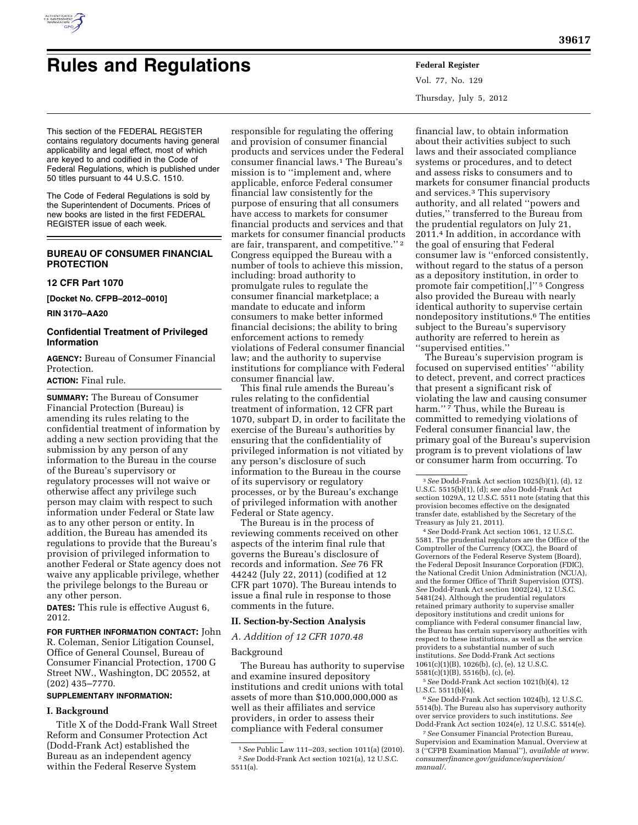

# **Rules and Regulations Federal Register**

Vol. 77, No. 129 Thursday, July 5, 2012

This section of the FEDERAL REGISTER contains regulatory documents having general applicability and legal effect, most of which are keyed to and codified in the Code of Federal Regulations, which is published under 50 titles pursuant to 44 U.S.C. 1510.

The Code of Federal Regulations is sold by the Superintendent of Documents. Prices of new books are listed in the first FEDERAL REGISTER issue of each week.

# **BUREAU OF CONSUMER FINANCIAL PROTECTION**

#### **12 CFR Part 1070**

**[Docket No. CFPB–2012–0010]** 

**RIN 3170–AA20** 

# **Confidential Treatment of Privileged Information**

**AGENCY:** Bureau of Consumer Financial Protection.

# **ACTION:** Final rule.

**SUMMARY:** The Bureau of Consumer Financial Protection (Bureau) is amending its rules relating to the confidential treatment of information by adding a new section providing that the submission by any person of any information to the Bureau in the course of the Bureau's supervisory or regulatory processes will not waive or otherwise affect any privilege such person may claim with respect to such information under Federal or State law as to any other person or entity. In addition, the Bureau has amended its regulations to provide that the Bureau's provision of privileged information to another Federal or State agency does not waive any applicable privilege, whether the privilege belongs to the Bureau or any other person.

**DATES:** This rule is effective August 6, 2012.

#### **FOR FURTHER INFORMATION CONTACT:** John

R. Coleman, Senior Litigation Counsel, Office of General Counsel, Bureau of Consumer Financial Protection, 1700 G Street NW., Washington, DC 20552, at (202) 435–7770.

### **SUPPLEMENTARY INFORMATION:**

#### **I. Background**

Title X of the Dodd-Frank Wall Street Reform and Consumer Protection Act (Dodd-Frank Act) established the Bureau as an independent agency within the Federal Reserve System

responsible for regulating the offering and provision of consumer financial products and services under the Federal consumer financial laws.1 The Bureau's mission is to ''implement and, where applicable, enforce Federal consumer financial law consistently for the purpose of ensuring that all consumers have access to markets for consumer financial products and services and that markets for consumer financial products are fair, transparent, and competitive.'' 2 Congress equipped the Bureau with a number of tools to achieve this mission, including: broad authority to promulgate rules to regulate the consumer financial marketplace; a mandate to educate and inform consumers to make better informed financial decisions; the ability to bring enforcement actions to remedy violations of Federal consumer financial law; and the authority to supervise institutions for compliance with Federal consumer financial law.

This final rule amends the Bureau's rules relating to the confidential treatment of information, 12 CFR part 1070, subpart D, in order to facilitate the exercise of the Bureau's authorities by ensuring that the confidentiality of privileged information is not vitiated by any person's disclosure of such information to the Bureau in the course of its supervisory or regulatory processes, or by the Bureau's exchange of privileged information with another Federal or State agency.

The Bureau is in the process of reviewing comments received on other aspects of the interim final rule that governs the Bureau's disclosure of records and information. *See* 76 FR 44242 (July 22, 2011) (codified at 12 CFR part 1070). The Bureau intends to issue a final rule in response to those comments in the future.

#### **II. Section-by-Section Analysis**

#### *A. Addition of 12 CFR 1070.48*

#### Background

The Bureau has authority to supervise and examine insured depository institutions and credit unions with total assets of more than \$10,000,000,000 as well as their affiliates and service providers, in order to assess their compliance with Federal consumer

financial law, to obtain information about their activities subject to such laws and their associated compliance systems or procedures, and to detect and assess risks to consumers and to markets for consumer financial products and services.3 This supervisory authority, and all related ''powers and duties,'' transferred to the Bureau from the prudential regulators on July 21, 2011.4 In addition, in accordance with the goal of ensuring that Federal consumer law is ''enforced consistently, without regard to the status of a person as a depository institution, in order to promote fair competition[,]'' 5 Congress also provided the Bureau with nearly identical authority to supervise certain nondepository institutions.6 The entities subject to the Bureau's supervisory authority are referred to herein as ''supervised entities.''

The Bureau's supervision program is focused on supervised entities' ''ability to detect, prevent, and correct practices that present a significant risk of violating the law and causing consumer harm."<sup>7</sup> Thus, while the Bureau is committed to remedying violations of Federal consumer financial law, the primary goal of the Bureau's supervision program is to prevent violations of law or consumer harm from occurring. To

4*See* Dodd-Frank Act section 1061, 12 U.S.C. 5581. The prudential regulators are the Office of the Comptroller of the Currency (OCC), the Board of Governors of the Federal Reserve System (Board), the Federal Deposit Insurance Corporation (FDIC), the National Credit Union Administration (NCUA), and the former Office of Thrift Supervision (OTS). *See* Dodd-Frank Act section 1002(24), 12 U.S.C. 5481(24). Although the prudential regulators retained primary authority to supervise smaller depository institutions and credit unions for compliance with Federal consumer financial law, the Bureau has certain supervisory authorities with respect to these institutions, as well as the service providers to a substantial number of such institutions. *See* Dodd-Frank Act sections 1061(c)(1)(B), 1026(b), (c), (e), 12 U.S.C. 5581(c)(1)(B), 5516(b), (c), (e).

5*See* Dodd-Frank Act section 1021(b)(4), 12 U.S.C. 5511(b)(4).

6*See* Dodd-Frank Act section 1024(b), 12 U.S.C. 5514(b). The Bureau also has supervisory authority over service providers to such institutions. *See*  Dodd-Frank Act section 1024(e), 12 U.S.C. 5514(e).

<sup>1</sup>*See* Public Law 111–203, section 1011(a) (2010). 2*See* Dodd-Frank Act section 1021(a), 12 U.S.C. 5511(a).

<sup>3</sup>*See* Dodd-Frank Act section 1025(b)(1), (d), 12 U.S.C. 5515(b)(1), (d); *see also* Dodd-Frank Act section 1029A, 12 U.S.C. 5511 note (stating that this provision becomes effective on the designated transfer date, established by the Secretary of the Treasury as July 21, 2011).

<sup>7</sup>*See* Consumer Financial Protection Bureau, Supervision and Examination Manual, Overview at 3 (''CFPB Examination Manual''), *available at [www.](http://www.consumerfinance.gov/guidance/supervision/manual/) [consumerfinance.gov/guidance/supervision/](http://www.consumerfinance.gov/guidance/supervision/manual/) [manual/.](http://www.consumerfinance.gov/guidance/supervision/manual/)*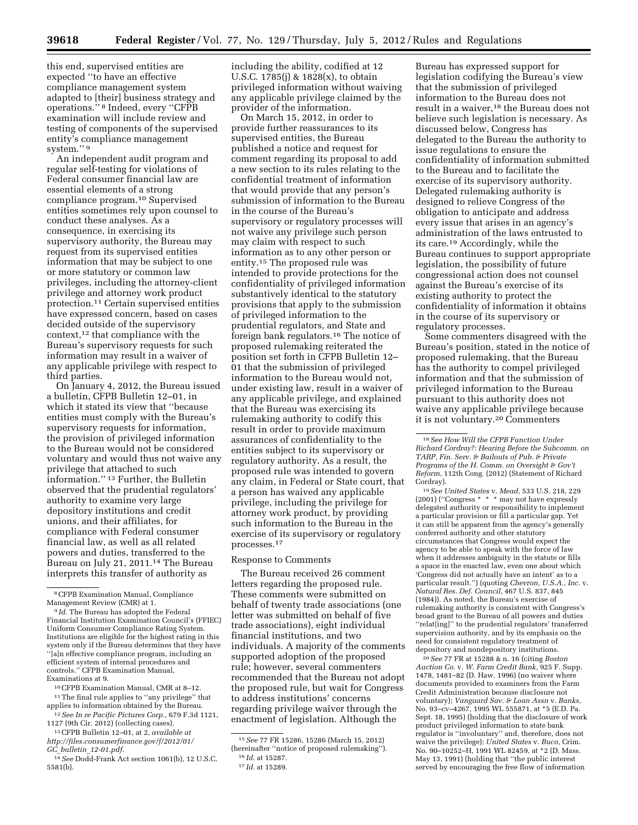this end, supervised entities are expected ''to have an effective compliance management system adapted to [their] business strategy and operations.'' 8 Indeed, every ''CFPB examination will include review and testing of components of the supervised entity's compliance management system."<sup>9</sup>

An independent audit program and regular self-testing for violations of Federal consumer financial law are essential elements of a strong compliance program.10 Supervised entities sometimes rely upon counsel to conduct these analyses. As a consequence, in exercising its supervisory authority, the Bureau may request from its supervised entities information that may be subject to one or more statutory or common law privileges, including the attorney-client privilege and attorney work product protection.11 Certain supervised entities have expressed concern, based on cases decided outside of the supervisory context,12 that compliance with the Bureau's supervisory requests for such information may result in a waiver of any applicable privilege with respect to third parties.

On January 4, 2012, the Bureau issued a bulletin, CFPB Bulletin 12–01, in which it stated its view that ''because entities must comply with the Bureau's supervisory requests for information, the provision of privileged information to the Bureau would not be considered voluntary and would thus not waive any privilege that attached to such information.'' 13 Further, the Bulletin observed that the prudential regulators' authority to examine very large depository institutions and credit unions, and their affiliates, for compliance with Federal consumer financial law, as well as all related powers and duties, transferred to the Bureau on July 21, 2011.14 The Bureau interprets this transfer of authority as

8CFPB Examination Manual, Compliance Management Review (CMR) at 1.

<sup>9</sup> *Id.* The Bureau has adopted the Federal Financial Institution Examination Council's (FFIEC) Uniform Consumer Compliance Rating System. Institutions are eligible for the highest rating in this system only if the Bureau determines that they have ''[a]n effective compliance program, including an efficient system of internal procedures and controls.'' CFPB Examination Manual, Examinations at 9.

10CFPB Examination Manual, CMR at 8–12.

12*See In re Pacific Pictures Corp.,* 679 F.3d 1121, 1127 (9th Cir. 2012) (collecting cases).

13CFPB Bulletin 12–01, at 2, *available at [http://files.consumerfinance.gov/f/2012/01/](http://files.consumerfinance.gov/f/2012/01/GC_bulletin_12-01.pdf)* 

*GC*\_*bulletin*\_*[12-01.pdf.](http://files.consumerfinance.gov/f/2012/01/GC_bulletin_12-01.pdf)* 

including the ability, codified at 12 U.S.C. 1785(j) & 1828(x), to obtain privileged information without waiving any applicable privilege claimed by the provider of the information.

On March 15, 2012, in order to provide further reassurances to its supervised entities, the Bureau published a notice and request for comment regarding its proposal to add a new section to its rules relating to the confidential treatment of information that would provide that any person's submission of information to the Bureau in the course of the Bureau's supervisory or regulatory processes will not waive any privilege such person may claim with respect to such information as to any other person or entity.15 The proposed rule was intended to provide protections for the confidentiality of privileged information substantively identical to the statutory provisions that apply to the submission of privileged information to the prudential regulators, and State and foreign bank regulators.16 The notice of proposed rulemaking reiterated the position set forth in CFPB Bulletin 12– 01 that the submission of privileged information to the Bureau would not, under existing law, result in a waiver of any applicable privilege, and explained that the Bureau was exercising its rulemaking authority to codify this result in order to provide maximum assurances of confidentiality to the entities subject to its supervisory or regulatory authority. As a result, the proposed rule was intended to govern any claim, in Federal or State court, that a person has waived any applicable privilege, including the privilege for attorney work product, by providing such information to the Bureau in the exercise of its supervisory or regulatory processes.17

#### Response to Comments

The Bureau received 26 comment letters regarding the proposed rule. These comments were submitted on behalf of twenty trade associations (one letter was submitted on behalf of five trade associations), eight individual financial institutions, and two individuals. A majority of the comments supported adoption of the proposed rule; however, several commenters recommended that the Bureau not adopt the proposed rule, but wait for Congress to address institutions' concerns regarding privilege waiver through the enactment of legislation. Although the

Bureau has expressed support for legislation codifying the Bureau's view that the submission of privileged information to the Bureau does not result in a waiver,18 the Bureau does not believe such legislation is necessary. As discussed below, Congress has delegated to the Bureau the authority to issue regulations to ensure the confidentiality of information submitted to the Bureau and to facilitate the exercise of its supervisory authority. Delegated rulemaking authority is designed to relieve Congress of the obligation to anticipate and address every issue that arises in an agency's administration of the laws entrusted to its care.19 Accordingly, while the Bureau continues to support appropriate legislation, the possibility of future congressional action does not counsel against the Bureau's exercise of its existing authority to protect the confidentiality of information it obtains in the course of its supervisory or regulatory processes.

Some commenters disagreed with the Bureau's position, stated in the notice of proposed rulemaking, that the Bureau has the authority to compel privileged information and that the submission of privileged information to the Bureau pursuant to this authority does not waive any applicable privilege because it is not voluntary.20 Commenters

19*See United States* v. *Mead,* 533 U.S. 218, 229 (2001) (''Congress \* \* \* may not have expressly delegated authority or responsibility to implement a particular provision or fill a particular gap. Yet it can still be apparent from the agency's generally conferred authority and other statutory circumstances that Congress would expect the agency to be able to speak with the force of law when it addresses ambiguity in the statute or fills a space in the enacted law, even one about which 'Congress did not actually have an intent' as to a particular result.'') (quoting *Chevron, U.S.A., Inc.* v. *Natural Res. Def. Council,* 467 U.S. 837, 845 (1984)). As noted, the Bureau's exercise of rulemaking authority is consistent with Congress's broad grant to the Bureau of all powers and duties ''relat[ing]'' to the prudential regulators' transferred supervision authority, and by its emphasis on the need for consistent regulatory treatment of depository and nondepository institutions.

20*See* 77 FR at 15288 & n. 16 (citing *Boston Auction Co.* v. *W. Farm Credit Bank,* 925 F. Supp. 1478, 1481–82 (D. Haw. 1996) (no waiver where documents provided to examiners from the Farm Credit Administration because disclosure not voluntary); *Vanguard Sav. & Loan Assn* v. *Banks,*  No. 93–cv–4267, 1995 WL 555871, at \*5 (E.D. Pa. Sept. 18, 1995) (holding that the disclosure of work product privileged information to state bank regulator is ''involuntary'' and, therefore, does not waive the privilege); *United States* v. *Buco,* Crim. No. 90–10252–H, 1991 WL 82459, at \*2 (D. Mass. May 13, 1991) (holding that ''the public interest served by encouraging the free flow of information

<sup>&</sup>lt;sup>11</sup>The final rule applies to "any privilege" that applies to information obtained by the Bureau.

<sup>14</sup>*See* Dodd-Frank Act section 1061(b), 12 U.S.C. 5581(b).

<sup>15</sup>*See* 77 FR 15286, 15286 (March 15, 2012) (hereinafter ''notice of proposed rulemaking''). 16 *Id.* at 15287.

<sup>17</sup> *Id.* at 15289.

<sup>18</sup>*See How Will the CFPB Function Under Richard Cordray?: Hearing Before the Subcomm. on TARP, Fin. Serv. & Bailouts of Pub. & Private Programs of the H. Comm. on Oversight & Gov't Reform,* 112th Cong. (2012) (Statement of Richard Cordray).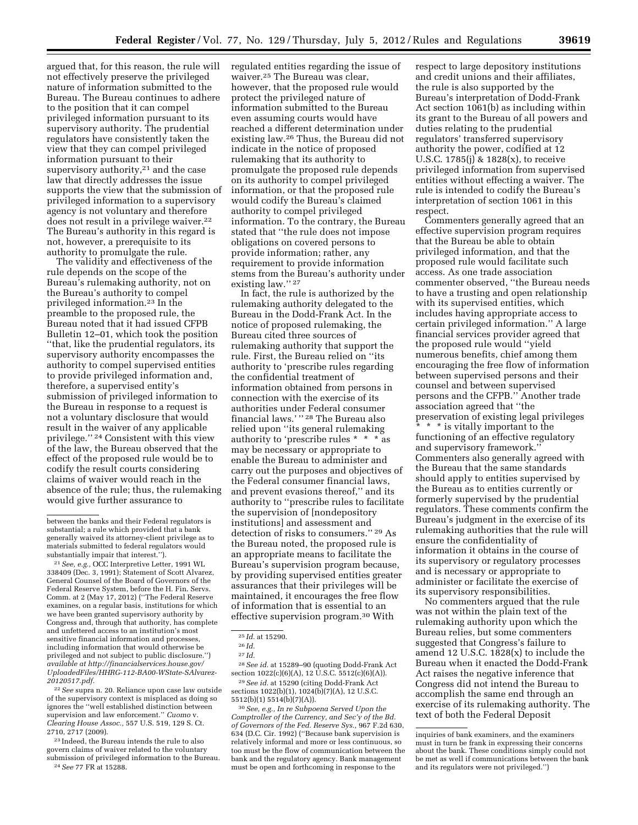argued that, for this reason, the rule will not effectively preserve the privileged nature of information submitted to the Bureau. The Bureau continues to adhere to the position that it can compel privileged information pursuant to its supervisory authority. The prudential regulators have consistently taken the view that they can compel privileged information pursuant to their supervisory authority, $2<sup>1</sup>$  and the case law that directly addresses the issue supports the view that the submission of

privileged information to a supervisory agency is not voluntary and therefore does not result in a privilege waiver.<sup>22</sup> The Bureau's authority in this regard is not, however, a prerequisite to its authority to promulgate the rule.

The validity and effectiveness of the rule depends on the scope of the Bureau's rulemaking authority, not on the Bureau's authority to compel privileged information.23 In the preamble to the proposed rule, the Bureau noted that it had issued CFPB Bulletin 12–01, which took the position ''that, like the prudential regulators, its supervisory authority encompasses the authority to compel supervised entities to provide privileged information and, therefore, a supervised entity's submission of privileged information to the Bureau in response to a request is not a voluntary disclosure that would result in the waiver of any applicable privilege.'' 24 Consistent with this view of the law, the Bureau observed that the effect of the proposed rule would be to codify the result courts considering claims of waiver would reach in the absence of the rule; thus, the rulemaking would give further assurance to

22*See* supra n. 20. Reliance upon case law outside of the supervisory context is misplaced as doing so ignores the ''well established distinction between supervision and law enforcement.'' *Cuomo* v. *Clearing House Assoc.,* 557 U.S. 519, 129 S. Ct. 2710, 2717 (2009).

23 Indeed, the Bureau intends the rule to also govern claims of waiver related to the voluntary submission of privileged information to the Bureau. 24*See* 77 FR at 15288.

regulated entities regarding the issue of waiver.25 The Bureau was clear, however, that the proposed rule would protect the privileged nature of information submitted to the Bureau even assuming courts would have reached a different determination under existing law.26 Thus, the Bureau did not indicate in the notice of proposed rulemaking that its authority to promulgate the proposed rule depends on its authority to compel privileged information, or that the proposed rule would codify the Bureau's claimed authority to compel privileged information. To the contrary, the Bureau stated that ''the rule does not impose obligations on covered persons to provide information; rather, any requirement to provide information stems from the Bureau's authority under existing law.'' 27

In fact, the rule is authorized by the rulemaking authority delegated to the Bureau in the Dodd-Frank Act. In the notice of proposed rulemaking, the Bureau cited three sources of rulemaking authority that support the rule. First, the Bureau relied on ''its authority to 'prescribe rules regarding the confidential treatment of information obtained from persons in connection with the exercise of its authorities under Federal consumer financial laws.' '' 28 The Bureau also relied upon ''its general rulemaking authority to 'prescribe rules \* \* \* as may be necessary or appropriate to enable the Bureau to administer and carry out the purposes and objectives of the Federal consumer financial laws, and prevent evasions thereof,'' and its authority to ''prescribe rules to facilitate the supervision of [nondepository institutions] and assessment and detection of risks to consumers.'' 29 As the Bureau noted, the proposed rule is an appropriate means to facilitate the Bureau's supervision program because, by providing supervised entities greater assurances that their privileges will be maintained, it encourages the free flow of information that is essential to an effective supervision program.30 With

28*See id.* at 15289–90 (quoting Dodd-Frank Act section  $1022(c)(6)(A)$ ,  $12\overline{U}$ .S.C.  $5512(c)(6)(A)$ .

29*See id.* at 15290 (citing Dodd-Frank Act sections 1022(b)(1), 1024(b)(7)(A), 12 U.S.C. 5512(b)(1) 5514(b)(7)(A)).

30*See, e.g., In re Subpoena Served Upon the Comptroller of the Currency, and Sec'y of the Bd. of Governors of the Fed. Reserve Sys.,* 967 F.2d 630, 634 (D.C. Cir. 1992) (''Because bank supervision is relatively informal and more or less continuous, so too must be the flow of communication between the bank and the regulatory agency. Bank management must be open and forthcoming in response to the

respect to large depository institutions and credit unions and their affiliates, the rule is also supported by the Bureau's interpretation of Dodd-Frank Act section 1061(b) as including within its grant to the Bureau of all powers and duties relating to the prudential regulators' transferred supervisory authority the power, codified at 12 U.S.C. 1785(j) & 1828(x), to receive privileged information from supervised entities without effecting a waiver. The rule is intended to codify the Bureau's interpretation of section 1061 in this respect.

Commenters generally agreed that an effective supervision program requires that the Bureau be able to obtain privileged information, and that the proposed rule would facilitate such access. As one trade association commenter observed, ''the Bureau needs to have a trusting and open relationship with its supervised entities, which includes having appropriate access to certain privileged information.'' A large financial services provider agreed that the proposed rule would ''yield numerous benefits, chief among them encouraging the free flow of information between supervised persons and their counsel and between supervised persons and the CFPB.'' Another trade association agreed that ''the preservation of existing legal privileges

\* \* \* is vitally important to the functioning of an effective regulatory and supervisory framework.'' Commenters also generally agreed with the Bureau that the same standards should apply to entities supervised by the Bureau as to entities currently or formerly supervised by the prudential regulators. These comments confirm the Bureau's judgment in the exercise of its rulemaking authorities that the rule will ensure the confidentiality of information it obtains in the course of its supervisory or regulatory processes and is necessary or appropriate to administer or facilitate the exercise of its supervisory responsibilities.

No commenters argued that the rule was not within the plain text of the rulemaking authority upon which the Bureau relies, but some commenters suggested that Congress's failure to amend 12 U.S.C. 1828(x) to include the Bureau when it enacted the Dodd-Frank Act raises the negative inference that Congress did not intend the Bureau to accomplish the same end through an exercise of its rulemaking authority. The text of both the Federal Deposit

between the banks and their Federal regulators is substantial; a rule which provided that a bank generally waived its attorney-client privilege as to materials submitted to federal regulators would substantially impair that interest.'').

<sup>21</sup>*See, e.g.,* OCC Interpretive Letter, 1991 WL 338409 (Dec. 3, 1991); Statement of Scott Alvarez, General Counsel of the Board of Governors of the Federal Reserve System, before the H. Fin. Servs. Comm. at 2 (May 17, 2012) (''The Federal Reserve examines, on a regular basis, institutions for which we have been granted supervisory authority by Congress and, through that authority, has complete and unfettered access to an institution's most sensitive financial information and processes, including information that would otherwise be privileged and not subject to public disclosure.'') *available at [http://financialservices.house.gov/](http://financialservices.house.gov/UploadedFiles/HHRG-112-BA00-WState-SAlvarez-20120517.pdf) [UploadedFiles/HHRG-112-BA00-WState-SAlvarez-](http://financialservices.house.gov/UploadedFiles/HHRG-112-BA00-WState-SAlvarez-20120517.pdf)[20120517.pdf.](http://financialservices.house.gov/UploadedFiles/HHRG-112-BA00-WState-SAlvarez-20120517.pdf)* 

<sup>25</sup> *Id.* at 15290.

 $^{26}\,Id.$ 

<sup>27</sup> *Id.* 

inquiries of bank examiners, and the examiners must in turn be frank in expressing their concerns about the bank. These conditions simply could not be met as well if communications between the bank and its regulators were not privileged.'')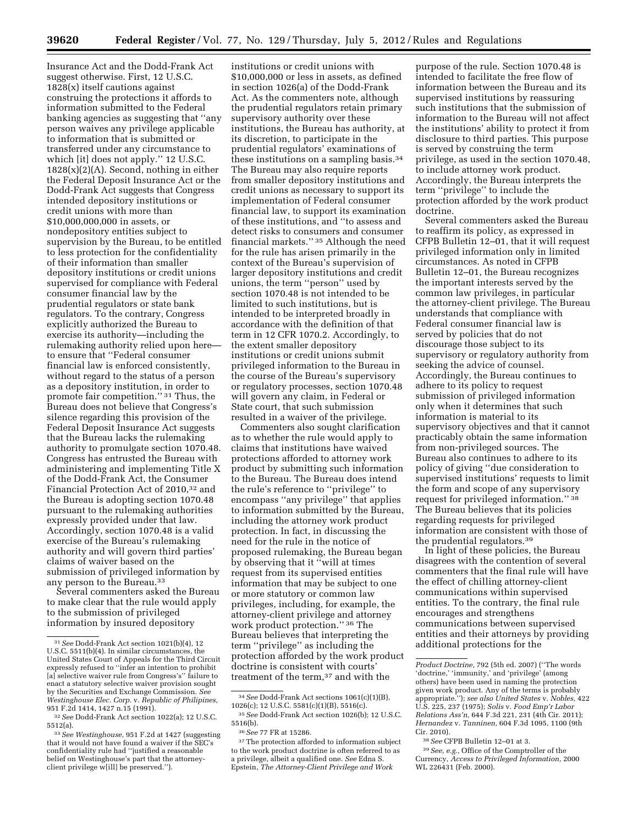Insurance Act and the Dodd-Frank Act suggest otherwise. First, 12 U.S.C. 1828(x) itself cautions against construing the protections it affords to information submitted to the Federal banking agencies as suggesting that ''any person waives any privilege applicable to information that is submitted or transferred under any circumstance to which [it] does not apply.'' 12 U.S.C.  $1828(x)(2)(A)$ . Second, nothing in either the Federal Deposit Insurance Act or the Dodd-Frank Act suggests that Congress intended depository institutions or credit unions with more than \$10,000,000,000 in assets, or nondepository entities subject to supervision by the Bureau, to be entitled to less protection for the confidentiality of their information than smaller depository institutions or credit unions supervised for compliance with Federal consumer financial law by the prudential regulators or state bank regulators. To the contrary, Congress explicitly authorized the Bureau to exercise its authority—including the rulemaking authority relied upon here to ensure that ''Federal consumer financial law is enforced consistently, without regard to the status of a person as a depository institution, in order to promote fair competition.'' 31 Thus, the Bureau does not believe that Congress's silence regarding this provision of the Federal Deposit Insurance Act suggests that the Bureau lacks the rulemaking authority to promulgate section 1070.48. Congress has entrusted the Bureau with administering and implementing Title X of the Dodd-Frank Act, the Consumer Financial Protection Act of 2010,<sup>32</sup> and the Bureau is adopting section 1070.48 pursuant to the rulemaking authorities expressly provided under that law. Accordingly, section 1070.48 is a valid exercise of the Bureau's rulemaking authority and will govern third parties' claims of waiver based on the submission of privileged information by any person to the Bureau.33

Several commenters asked the Bureau to make clear that the rule would apply to the submission of privileged information by insured depository

institutions or credit unions with \$10,000,000 or less in assets, as defined in section 1026(a) of the Dodd-Frank Act. As the commenters note, although the prudential regulators retain primary supervisory authority over these institutions, the Bureau has authority, at its discretion, to participate in the prudential regulators' examinations of these institutions on a sampling basis.34 The Bureau may also require reports from smaller depository institutions and credit unions as necessary to support its implementation of Federal consumer financial law, to support its examination of these institutions, and ''to assess and detect risks to consumers and consumer financial markets.'' 35 Although the need for the rule has arisen primarily in the context of the Bureau's supervision of larger depository institutions and credit unions, the term ''person'' used by section 1070.48 is not intended to be limited to such institutions, but is intended to be interpreted broadly in accordance with the definition of that term in 12 CFR 1070.2. Accordingly, to the extent smaller depository institutions or credit unions submit privileged information to the Bureau in the course of the Bureau's supervisory or regulatory processes, section 1070.48 will govern any claim, in Federal or State court, that such submission resulted in a waiver of the privilege.

Commenters also sought clarification as to whether the rule would apply to claims that institutions have waived protections afforded to attorney work product by submitting such information to the Bureau. The Bureau does intend the rule's reference to ''privilege'' to encompass ''any privilege'' that applies to information submitted by the Bureau, including the attorney work product protection. In fact, in discussing the need for the rule in the notice of proposed rulemaking, the Bureau began by observing that it ''will at times request from its supervised entities information that may be subject to one or more statutory or common law privileges, including, for example, the attorney-client privilege and attorney work product protection.'' 36 The Bureau believes that interpreting the term ''privilege'' as including the protection afforded by the work product doctrine is consistent with courts' treatment of the term,37 and with the

purpose of the rule. Section 1070.48 is intended to facilitate the free flow of information between the Bureau and its supervised institutions by reassuring such institutions that the submission of information to the Bureau will not affect the institutions' ability to protect it from disclosure to third parties. This purpose is served by construing the term privilege, as used in the section 1070.48, to include attorney work product. Accordingly, the Bureau interprets the term ''privilege'' to include the protection afforded by the work product doctrine.

Several commenters asked the Bureau to reaffirm its policy, as expressed in CFPB Bulletin 12–01, that it will request privileged information only in limited circumstances. As noted in CFPB Bulletin 12–01, the Bureau recognizes the important interests served by the common law privileges, in particular the attorney-client privilege. The Bureau understands that compliance with Federal consumer financial law is served by policies that do not discourage those subject to its supervisory or regulatory authority from seeking the advice of counsel. Accordingly, the Bureau continues to adhere to its policy to request submission of privileged information only when it determines that such information is material to its supervisory objectives and that it cannot practicably obtain the same information from non-privileged sources. The Bureau also continues to adhere to its policy of giving ''due consideration to supervised institutions' requests to limit the form and scope of any supervisory request for privileged information.'' 38 The Bureau believes that its policies regarding requests for privileged information are consistent with those of the prudential regulators.39

In light of these policies, the Bureau disagrees with the contention of several commenters that the final rule will have the effect of chilling attorney-client communications within supervised entities. To the contrary, the final rule encourages and strengthens communications between supervised entities and their attorneys by providing additional protections for the

<sup>31</sup>*See* Dodd-Frank Act section 1021(b)(4), 12 U.S.C. 5511(b)(4). In similar circumstances, the United States Court of Appeals for the Third Circuit expressly refused to ''infer an intention to prohibit [a] selective waiver rule from Congress's" failure to enact a statutory selective waiver provision sought by the Securities and Exchange Commission. *See Westinghouse Elec. Corp.* v. *Republic of Philipines,*  951 F.2d 1414, 1427 n.15 (1991).

<sup>32</sup>*See* Dodd-Frank Act section 1022(a); 12 U.S.C.

<sup>&</sup>lt;sup>33</sup> See Westinghouse, 951 F.2d at 1427 (suggesting that it would not have found a waiver if the SEC's confidentiality rule had ''justified a reasonable belief on Westinghouse's part that the attorneyclient privilege w[ill] be preserved.'').

<sup>34</sup>*See* Dodd-Frank Act sections 1061(c)(1)(B), 1026(c); 12 U.S.C. 5581(c)(1)(B), 5516(c).

<sup>35</sup>*See* Dodd-Frank Act section 1026(b); 12 U.S.C. 5516(b).

<sup>36</sup>*See* 77 FR at 15286.

<sup>&</sup>lt;sup>37</sup>The protection afforded to information subject to the work product doctrine is often referred to as a privilege, albeit a qualified one. *See* Edna S. Epstein, *The Attorney-Client Privilege and Work* 

*Product Doctrine,* 792 (5th ed. 2007) (''The words 'doctrine,' 'immunity,' and 'privilege' (among others) have been used in naming the protection given work product. Any of the terms is probably appropriate.''); *see also United States* v. *Nobles,* 422 U.S. 225, 237 (1975); *Solis* v. *Food Emp'r Labor Relations Ass'n,* 644 F.3d 221, 231 (4th Cir. 2011); *Hernandez* v. *Tanninen,* 604 F.3d 1095, 1100 (9th Cir. 2010).

<sup>38</sup>*See* CFPB Bulletin 12–01 at 3.

<sup>39</sup>*See, e.g.,* Office of the Comptroller of the Currency, *Access to Privileged Information,* 2000 WL 226431 (Feb. 2000).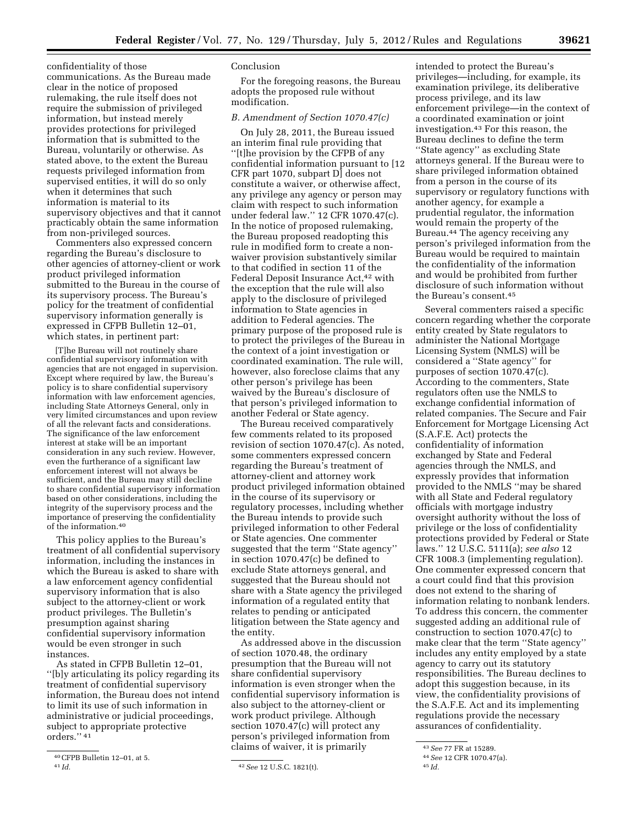confidentiality of those communications. As the Bureau made clear in the notice of proposed rulemaking, the rule itself does not require the submission of privileged information, but instead merely provides protections for privileged information that is submitted to the Bureau, voluntarily or otherwise. As stated above, to the extent the Bureau requests privileged information from supervised entities, it will do so only when it determines that such information is material to its supervisory objectives and that it cannot practicably obtain the same information from non-privileged sources.

Commenters also expressed concern regarding the Bureau's disclosure to other agencies of attorney-client or work product privileged information submitted to the Bureau in the course of its supervisory process. The Bureau's policy for the treatment of confidential supervisory information generally is expressed in CFPB Bulletin 12–01, which states, in pertinent part:

[T]he Bureau will not routinely share confidential supervisory information with agencies that are not engaged in supervision. Except where required by law, the Bureau's policy is to share confidential supervisory information with law enforcement agencies, including State Attorneys General, only in very limited circumstances and upon review of all the relevant facts and considerations. The significance of the law enforcement interest at stake will be an important consideration in any such review. However, even the furtherance of a significant law enforcement interest will not always be sufficient, and the Bureau may still decline to share confidential supervisory information based on other considerations, including the integrity of the supervisory process and the importance of preserving the confidentiality of the information.40

This policy applies to the Bureau's treatment of all confidential supervisory information, including the instances in which the Bureau is asked to share with a law enforcement agency confidential supervisory information that is also subject to the attorney-client or work product privileges. The Bulletin's presumption against sharing confidential supervisory information would be even stronger in such instances.

As stated in CFPB Bulletin 12–01, ''[b]y articulating its policy regarding its treatment of confidential supervisory information, the Bureau does not intend to limit its use of such information in administrative or judicial proceedings, subject to appropriate protective orders.'' 41

## Conclusion

For the foregoing reasons, the Bureau adopts the proposed rule without modification.

## *B. Amendment of Section 1070.47(c)*

On July 28, 2011, the Bureau issued an interim final rule providing that ''[t]he provision by the CFPB of any confidential information pursuant to [12 CFR part 1070, subpart D] does not constitute a waiver, or otherwise affect, any privilege any agency or person may claim with respect to such information under federal law.'' 12 CFR 1070.47(c). In the notice of proposed rulemaking, the Bureau proposed readopting this rule in modified form to create a nonwaiver provision substantively similar to that codified in section 11 of the Federal Deposit Insurance Act.<sup>42</sup> with the exception that the rule will also apply to the disclosure of privileged information to State agencies in addition to Federal agencies. The primary purpose of the proposed rule is to protect the privileges of the Bureau in the context of a joint investigation or coordinated examination. The rule will, however, also foreclose claims that any other person's privilege has been waived by the Bureau's disclosure of that person's privileged information to another Federal or State agency.

The Bureau received comparatively few comments related to its proposed revision of section 1070.47(c). As noted, some commenters expressed concern regarding the Bureau's treatment of attorney-client and attorney work product privileged information obtained in the course of its supervisory or regulatory processes, including whether the Bureau intends to provide such privileged information to other Federal or State agencies. One commenter suggested that the term ''State agency'' in section 1070.47(c) be defined to exclude State attorneys general, and suggested that the Bureau should not share with a State agency the privileged information of a regulated entity that relates to pending or anticipated litigation between the State agency and the entity.

As addressed above in the discussion of section 1070.48, the ordinary presumption that the Bureau will not share confidential supervisory information is even stronger when the confidential supervisory information is also subject to the attorney-client or work product privilege. Although section 1070.47(c) will protect any person's privileged information from claims of waiver, it is primarily

intended to protect the Bureau's privileges—including, for example, its examination privilege, its deliberative process privilege, and its law enforcement privilege—in the context of a coordinated examination or joint investigation.43 For this reason, the Bureau declines to define the term ''State agency'' as excluding State attorneys general. If the Bureau were to share privileged information obtained from a person in the course of its supervisory or regulatory functions with another agency, for example a prudential regulator, the information would remain the property of the Bureau.44 The agency receiving any person's privileged information from the Bureau would be required to maintain the confidentiality of the information and would be prohibited from further disclosure of such information without the Bureau's consent.45

Several commenters raised a specific concern regarding whether the corporate entity created by State regulators to administer the National Mortgage Licensing System (NMLS) will be considered a ''State agency'' for purposes of section 1070.47(c). According to the commenters, State regulators often use the NMLS to exchange confidential information of related companies. The Secure and Fair Enforcement for Mortgage Licensing Act (S.A.F.E. Act) protects the confidentiality of information exchanged by State and Federal agencies through the NMLS, and expressly provides that information provided to the NMLS ''may be shared with all State and Federal regulatory officials with mortgage industry oversight authority without the loss of privilege or the loss of confidentiality protections provided by Federal or State laws.'' 12 U.S.C. 5111(a); *see also* 12 CFR 1008.3 (implementing regulation). One commenter expressed concern that a court could find that this provision does not extend to the sharing of information relating to nonbank lenders. To address this concern, the commenter suggested adding an additional rule of construction to section 1070.47(c) to make clear that the term ''State agency'' includes any entity employed by a state agency to carry out its statutory responsibilities. The Bureau declines to adopt this suggestion because, in its view, the confidentiality provisions of the S.A.F.E. Act and its implementing regulations provide the necessary assurances of confidentiality.

 $^{40}\mathrm{CFPB}$  Bulletin 12–01, at 5.  $^{41}\mathrm{Id}.$ 

<sup>41</sup> *Id.* 42*See* 12 U.S.C. 1821(t).

<sup>43</sup>*See* 77 FR at 15289.

<sup>44</sup>*See* 12 CFR 1070.47(a).

<sup>45</sup> *Id.*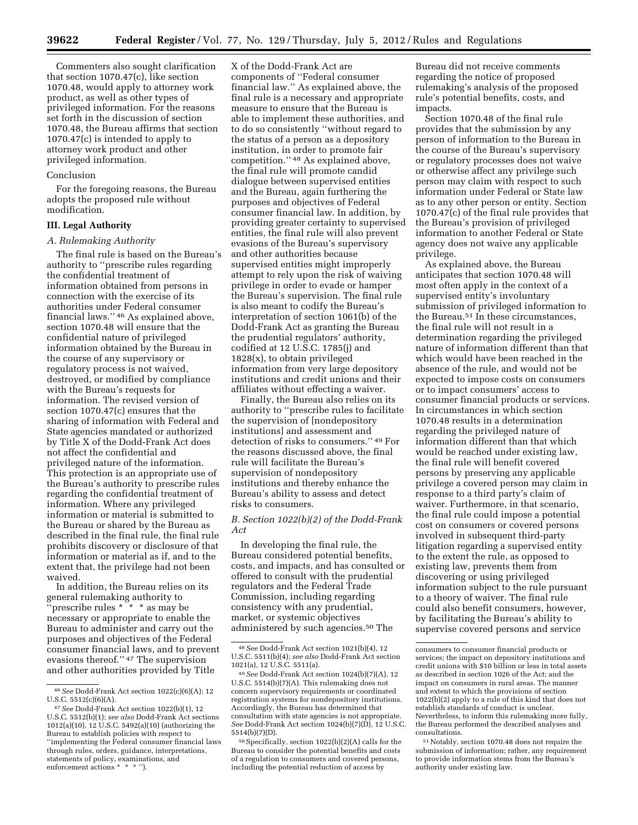Commenters also sought clarification that section 1070.47(c), like section 1070.48, would apply to attorney work product, as well as other types of privileged information. For the reasons set forth in the discussion of section 1070.48, the Bureau affirms that section 1070.47(c) is intended to apply to attorney work product and other privileged information.

#### Conclusion

For the foregoing reasons, the Bureau adopts the proposed rule without modification.

### **III. Legal Authority**

#### *A. Rulemaking Authority*

The final rule is based on the Bureau's authority to ''prescribe rules regarding the confidential treatment of information obtained from persons in connection with the exercise of its authorities under Federal consumer financial laws.'' 46 As explained above, section 1070.48 will ensure that the confidential nature of privileged information obtained by the Bureau in the course of any supervisory or regulatory process is not waived, destroyed, or modified by compliance with the Bureau's requests for information. The revised version of section 1070.47(c) ensures that the sharing of information with Federal and State agencies mandated or authorized by Title X of the Dodd-Frank Act does not affect the confidential and privileged nature of the information. This protection is an appropriate use of the Bureau's authority to prescribe rules regarding the confidential treatment of information. Where any privileged information or material is submitted to the Bureau or shared by the Bureau as described in the final rule, the final rule prohibits discovery or disclosure of that information or material as if, and to the extent that, the privilege had not been waived.

In addition, the Bureau relies on its general rulemaking authority to 'prescribe rules  $* * * *$  as may be necessary or appropriate to enable the Bureau to administer and carry out the purposes and objectives of the Federal consumer financial laws, and to prevent evasions thereof.'' 47 The supervision and other authorities provided by Title

X of the Dodd-Frank Act are components of ''Federal consumer financial law.'' As explained above, the final rule is a necessary and appropriate measure to ensure that the Bureau is able to implement these authorities, and to do so consistently ''without regard to the status of a person as a depository institution, in order to promote fair competition.'' 48 As explained above, the final rule will promote candid dialogue between supervised entities and the Bureau, again furthering the purposes and objectives of Federal consumer financial law. In addition, by providing greater certainty to supervised entities, the final rule will also prevent evasions of the Bureau's supervisory and other authorities because supervised entities might improperly attempt to rely upon the risk of waiving privilege in order to evade or hamper the Bureau's supervision. The final rule is also meant to codify the Bureau's interpretation of section 1061(b) of the Dodd-Frank Act as granting the Bureau the prudential regulators' authority, codified at 12 U.S.C. 1785(j) and 1828(x), to obtain privileged information from very large depository institutions and credit unions and their affiliates without effecting a waiver.

Finally, the Bureau also relies on its authority to ''prescribe rules to facilitate the supervision of [nondepository institutions] and assessment and detection of risks to consumers.'' 49 For the reasons discussed above, the final rule will facilitate the Bureau's supervision of nondepository institutions and thereby enhance the Bureau's ability to assess and detect risks to consumers.

# *B. Section 1022(b)(2) of the Dodd-Frank Act*

In developing the final rule, the Bureau considered potential benefits, costs, and impacts, and has consulted or offered to consult with the prudential regulators and the Federal Trade Commission, including regarding consistency with any prudential, market, or systemic objectives administered by such agencies.50 The

Bureau did not receive comments regarding the notice of proposed rulemaking's analysis of the proposed rule's potential benefits, costs, and impacts.

Section 1070.48 of the final rule provides that the submission by any person of information to the Bureau in the course of the Bureau's supervisory or regulatory processes does not waive or otherwise affect any privilege such person may claim with respect to such information under Federal or State law as to any other person or entity. Section 1070.47(c) of the final rule provides that the Bureau's provision of privileged information to another Federal or State agency does not waive any applicable privilege.

As explained above, the Bureau anticipates that section 1070.48 will most often apply in the context of a supervised entity's involuntary submission of privileged information to the Bureau.51 In these circumstances, the final rule will not result in a determination regarding the privileged nature of information different than that which would have been reached in the absence of the rule, and would not be expected to impose costs on consumers or to impact consumers' access to consumer financial products or services. In circumstances in which section 1070.48 results in a determination regarding the privileged nature of information different than that which would be reached under existing law, the final rule will benefit covered persons by preserving any applicable privilege a covered person may claim in response to a third party's claim of waiver. Furthermore, in that scenario, the final rule could impose a potential cost on consumers or covered persons involved in subsequent third-party litigation regarding a supervised entity to the extent the rule, as opposed to existing law, prevents them from discovering or using privileged information subject to the rule pursuant to a theory of waiver. The final rule could also benefit consumers, however, by facilitating the Bureau's ability to supervise covered persons and service

<sup>46</sup>*See* Dodd-Frank Act section 1022(c)(6)(A); 12 U.S.C.  $5512(c)(6)(A)$ .

<sup>47</sup>*See* Dodd-Frank Act section 1022(b)(1), 12 U.S.C. 5512(b)(1); *see also* Dodd-Frank Act sections 1012(a)(10), 12 U.S.C. 5492(a)(10) (authorizing the Bureau to establish policies with respect to ''implementing the Federal consumer financial laws through rules, orders, guidance, interpretations, statements of policy, examinations, and enforcement actions \* \* \* '').

<sup>48</sup>*See* Dodd-Frank Act section 1021(b)(4), 12 U.S.C. 5511(b)(4); *see also* Dodd-Frank Act section 1021(a), 12 U.S.C. 5511(a).

<sup>49</sup>*See* Dodd-Frank Act section 1024(b)(7)(A), 12 U.S.C. 5514(b)(7)(A). This rulemaking does not concern supervisory requirements or coordinated registration systems for nondepository institutions. Accordingly, the Bureau has determined that consultation with state agencies is not appropriate. *See* Dodd-Frank Act section 1024(b)(7)(D), 12 U.S.C. 5514(b)(7)(D).

<sup>50</sup>Specifically, section 1022(b)(2)(A) calls for the Bureau to consider the potential benefits and costs of a regulation to consumers and covered persons, including the potential reduction of access by

consumers to consumer financial products or services; the impact on depository institutions and credit unions with \$10 billion or less in total assets as described in section 1026 of the Act; and the impact on consumers in rural areas. The manner and extent to which the provisions of section 1022(b)(2) apply to a rule of this kind that does not establish standards of conduct is unclear. Nevertheless, to inform this rulemaking more fully, the Bureau performed the described analyses and consultations.

<sup>51</sup>Notably, section 1070.48 does not require the submission of information; rather, any requirement to provide information stems from the Bureau's authority under existing law.